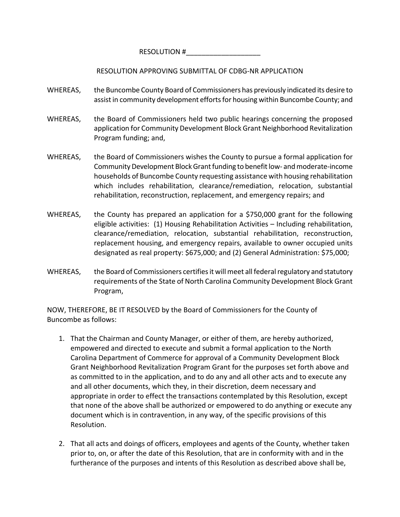RESOLUTION #

RESOLUTION APPROVING SUBMITTAL OF CDBG‐NR APPLICATION

- WHEREAS, the Buncombe County Board of Commissioners has previously indicated its desire to assist in community development efforts for housing within Buncombe County; and
- WHEREAS, the Board of Commissioners held two public hearings concerning the proposed application for Community Development Block Grant Neighborhood Revitalization Program funding; and,
- WHEREAS, the Board of Commissioners wishes the County to pursue a formal application for Community Development Block Grant funding to benefit low- and moderate-income households of Buncombe County requesting assistance with housing rehabilitation which includes rehabilitation, clearance/remediation, relocation, substantial rehabilitation, reconstruction, replacement, and emergency repairs; and
- WHEREAS, the County has prepared an application for a \$750,000 grant for the following eligible activities: (1) Housing Rehabilitation Activities – Including rehabilitation, clearance/remediation, relocation, substantial rehabilitation, reconstruction, replacement housing, and emergency repairs, available to owner occupied units designated as real property: \$675,000; and (2) General Administration: \$75,000;
- WHEREAS, the Board of Commissioners certifies it will meet all federal regulatory and statutory requirements of the State of North Carolina Community Development Block Grant Program,

NOW, THEREFORE, BE IT RESOLVED by the Board of Commissioners for the County of Buncombe as follows:

- 1. That the Chairman and County Manager, or either of them, are hereby authorized, empowered and directed to execute and submit a formal application to the North Carolina Department of Commerce for approval of a Community Development Block Grant Neighborhood Revitalization Program Grant for the purposes set forth above and as committed to in the application, and to do any and all other acts and to execute any and all other documents, which they, in their discretion, deem necessary and appropriate in order to effect the transactions contemplated by this Resolution, except that none of the above shall be authorized or empowered to do anything or execute any document which is in contravention, in any way, of the specific provisions of this Resolution.
- 2. That all acts and doings of officers, employees and agents of the County, whether taken prior to, on, or after the date of this Resolution, that are in conformity with and in the furtherance of the purposes and intents of this Resolution as described above shall be,